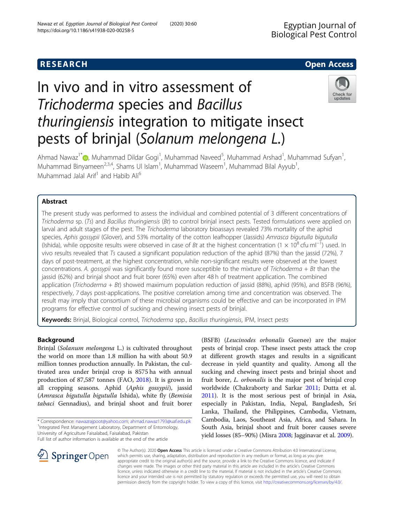# **RESEARCH CHE Open Access**

# In vivo and in vitro assessment of Trichoderma species and Bacillus thuringiensis integration to mitigate insect pests of brinjal (Solanum melongena L.)



Ahmad Nawaz<sup>1\*</sup> (D)[,](http://orcid.org/0000-0001-7771-1933) Muhammad Dildar Gogi<sup>1</sup>, Muhammad Naveed<sup>5</sup>, Muhammad Arshad<sup>1</sup>, Muhammad Sufyan<sup>1</sup> , Muhammad Binyameen<sup>2,3,4</sup>, Shams UI Islam<sup>1</sup>, Muhammad Waseem<sup>1</sup>, Muhammad Bilal Ayyub<sup>1</sup> , Muhammad Jalal Arif<sup>1</sup> and Habib Ali<sup>6</sup>

# Abstract

The present study was performed to assess the individual and combined potential of 3 different concentrations of Trichoderma sp. (Ts) and Bacillus thuringiensis (Bt) to control brinjal insect pests. Tested formulations were applied on larval and adult stages of the pest. The Trichoderma laboratory bioassays revealed 73% mortality of the aphid species, Aphis gossypii (Glover), and 53% mortality of the cotton leafhopper (Jassids) Amrasca bigutulla bigutulla (Ishida), while opposite results were observed in case of Bt at the highest concentration (1 × 10<sup>8</sup> cfu ml<sup>−1</sup>) used. In vivo results revealed that Ts caused a significant population reduction of the aphid (87%) than the jassid (72%), 7 days of post-treatment, at the highest concentration, while non-significant results were observed at the lowest concentrations. A. gossypii was significantly found more susceptible to the mixture of Trichoderma + Bt than the jassid (62%) and brinjal shoot and fruit borer (65%) even after 48 h of treatment application. The combined application (Trichoderma + Bt) showed maximum population reduction of jassid (88%), aphid (95%), and BSFB (96%), respectively, 7 days post-applications. The positive correlation among time and concentration was observed. The result may imply that consortium of these microbial organisms could be effective and can be incorporated in IPM programs for effective control of sucking and chewing insect pests of brinjal.

Keywords: Brinjal, Biological control, Trichoderma spp., Bacillus thuringiensis, IPM, Insect pests

## Background

Brinjal (Solanum melongena L.) is cultivated throughout the world on more than 1.8 million ha with about 50.9 million tonnes production annually. In Pakistan, the cultivated area under brinjal crop is 8575 ha with annual production of 87,587 tonnes (FAO, [2018](#page-6-0)). It is grown in all cropping seasons. Aphid (Aphis gossypii), jassid (Amrasca bigutulla bigutulla Ishida), white fly (Bemisia tabaci Gennadius), and brinjal shoot and fruit borer

\* Correspondence: [nawazrajpoot@yahoo.com;](mailto:nawazrajpoot@yahoo.com) [ahmad.nawaz1793@uaf.edu.pk](mailto:ahmad.nawaz1793@uaf.edu.pk) <sup>1</sup> <sup>1</sup> Integrated Pest Management Laboratory, Department of Entomology, University of Agriculture Faisalabad, Faisalabad, Pakistan

Full list of author information is available at the end of the article

(BSFB) (Leucinodes orbonalis Guenee) are the major pests of brinjal crop. These insect pests attack the crop at different growth stages and results in a significant decrease in yield quantity and quality. Among all the sucking and chewing insect pests and brinjal shoot and fruit borer, *L. orbonalis* is the major pest of brinjal crop worldwide (Chakraborty and Sarkar [2011;](#page-6-0) Dutta et al. [2011](#page-6-0)). It is the most serious pest of brinjal in Asia, especially in Pakistan, India, Nepal, Bangladesh, Sri Lanka, Thailand, the Philippines, Cambodia, Vietnam, Cambodia, Laos, Southeast Asia, Africa, and Sahara. In South Asia, brinjal shoot and fruit borer causes severe yield losses (85–90%) (Misra [2008](#page-6-0); Jagginavar et al. [2009](#page-6-0)).



© The Author(s). 2020 Open Access This article is licensed under a Creative Commons Attribution 4.0 International License, which permits use, sharing, adaptation, distribution and reproduction in any medium or format, as long as you give appropriate credit to the original author(s) and the source, provide a link to the Creative Commons licence, and indicate if changes were made. The images or other third party material in this article are included in the article's Creative Commons licence, unless indicated otherwise in a credit line to the material. If material is not included in the article's Creative Commons licence and your intended use is not permitted by statutory regulation or exceeds the permitted use, you will need to obtain permission directly from the copyright holder. To view a copy of this licence, visit <http://creativecommons.org/licenses/by/4.0/>.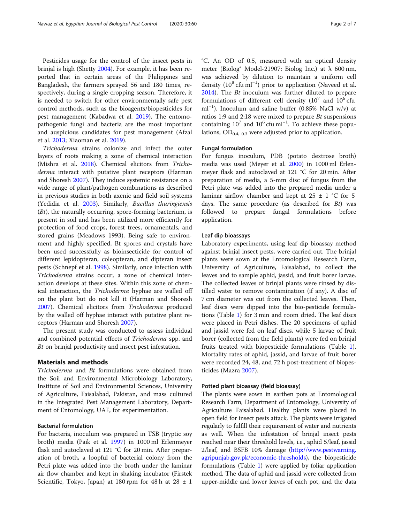Pesticides usage for the control of the insect pests in brinjal is high (Shetty [2004](#page-6-0)). For example, it has been reported that in certain areas of the Philippines and Bangladesh, the farmers sprayed 56 and 180 times, respectively, during a single cropping season. Therefore, it is needed to switch for other environmentally safe pest control methods, such as the bioagents/biopesticides for pest management (Kabadwa et al. [2019\)](#page-6-0). The entomopathogenic fungi and bacteria are the most important and auspicious candidates for pest management (Afzal et al. [2013;](#page-6-0) Xiaoman et al. [2019\)](#page-6-0).

Trichoderma strains colonize and infect the outer layers of roots making a zone of chemical interaction (Mishra et al. [2018](#page-6-0)). Chemical elicitors from Trichoderma interact with putative plant receptors (Harman and Shoresh [2007\)](#page-6-0). They induce systemic resistance on a wide range of plant/pathogen combinations as described in previous studies in both axenic and field soil systems (Yedidia et al. [2003\)](#page-6-0). Similarly, Bacillus thuringiensis  $(Bt)$ , the naturally occurring, spore-forming bacterium, is present in soil and has been utilized more efficiently for protection of food crops, forest trees, ornamentals, and stored grains (Meadows 1993). Being safe to environment and highly specified, Bt spores and crystals have been used successfully as bioinsecticide for control of different lepidopteran, coleopteran, and dipteran insect pests (Schnepf et al. [1998\)](#page-6-0). Similarly, once infection with Trichoderma strains occur, a zone of chemical interaction develops at these sites. Within this zone of chemical interaction, the Trichoderma hyphae are walled off on the plant but do not kill it (Harman and Shoresh [2007](#page-6-0)). Chemical elicitors from Trichoderma produced by the walled off hyphae interact with putative plant receptors (Harman and Shoresh [2007](#page-6-0)).

The present study was conducted to assess individual and combined potential effects of Trichoderma spp. and Bt on brinjal productivity and insect pest infestation.

#### Materials and methods

Trichoderma and Bt formulations were obtained from the Soil and Environmental Microbiology Laboratory, Institute of Soil and Environmental Sciences, University of Agriculture, Faisalabad, Pakistan, and mass cultured in the Integrated Pest Management Laboratory, Department of Entomology, UAF, for experimentation.

#### Bacterial formulation

For bacteria, inoculum was prepared in TSB (tryptic soy broth) media (Paik et al. [1997\)](#page-6-0) in 1000 ml Erlenmeyer flask and autoclaved at 121 °C for 20 min. After preparation of broth, a loopful of bacterial colony from the Petri plate was added into the broth under the laminar air flow chamber and kept in shaking incubator (Firstek Scientific, Tokyo, Japan) at 180 rpm for 48 h at  $28 \pm 1$ 

°C. An OD of 0.5, measured with an optical density meter (Biolog® Model-21907; Biolog Inc.) at  $\lambda$  600 nm, was achieved by dilution to maintain a uniform cell density (10<sup>8</sup> cfu ml<sup>-1</sup>) prior to application (Naveed et al. [2014](#page-6-0)). The Bt inoculum was further diluted to prepare formulations of different cell density  $(10^7 \text{ and } 10^6 \text{ cftu})$ ml−<sup>1</sup> ). Inoculum and saline buffer (0.85% NaCl w/v) at ratios 1:9 and 2:18 were mixed to prepare  $Bt$  suspensions containing  $10^7$  and  $10^6$  cfu ml<sup>-1</sup>. To achieve these populations,  $OD_{0.4, 0.3}$  were adjusted prior to application.

#### Fungal formulation

For fungus inoculum, PDB (potato dextrose broth) media was used (Meyer et al. [2000](#page-6-0)) in 1000 ml Erlenmeyer flask and autoclaved at 121 °C for 20 min. After preparation of media, a 5-mm disc of fungus from the Petri plate was added into the prepared media under a laminar airflow chamber and kept at  $25 \pm 1$  °C for 5 days. The same procedure (as described for  $Bt$ ) was followed to prepare fungal formulations before application.

#### Leaf dip bioassays

Laboratory experiments, using leaf dip bioassay method against brinjal insect pests, were carried out. The brinjal plants were sown at the Entomological Research Farm, University of Agriculture, Faisalabad, to collect the leaves and to sample aphid, jassid, and fruit borer larvae. The collected leaves of brinjal plants were rinsed by distilled water to remove contamination (if any). A disc of 7 cm diameter was cut from the collected leaves. Then, leaf discs were dipped into the bio-pesticide formulations (Table [1\)](#page-2-0) for 3 min and room dried. The leaf discs were placed in Petri dishes. The 20 specimens of aphid and jassid were fed on leaf discs, while 5 larvae of fruit borer (collected from the field plants) were fed on brinjal fruits treated with biopesticide formulations (Table [1](#page-2-0)). Mortality rates of aphid, jassid, and larvae of fruit borer were recorded 24, 48, and 72 h post-treatment of biopesticides (Mazra [2007](#page-6-0)).

#### Potted plant bioassay (field bioassay)

The plants were sown in earthen pots at Entomological Research Farm, Department of Entomology, University of Agriculture Faisalabad. Healthy plants were placed in open field for insect pests attack. The plants were irrigated regularly to fulfill their requirement of water and nutrients as well. When the infestation of brinjal insect pests reached near their threshold levels, i.e., aphid 5/leaf, jassid 2/leaf, and BSFB 10% damage [\(http://www.pestwarning.](http://www.pestwarning.agripunjab.gov.pk/economic-thresholds) [agripunjab.gov.pk/economic-thresholds](http://www.pestwarning.agripunjab.gov.pk/economic-thresholds)), the biopesticide formulations (Table [1](#page-2-0)) were applied by foliar application method. The data of aphid and jassid were collected from upper-middle and lower leaves of each pot, and the data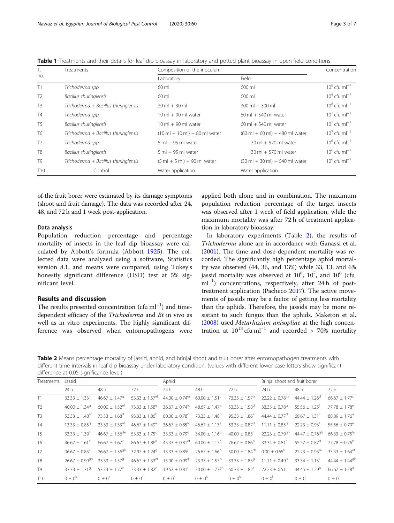<span id="page-2-0"></span>

| <b>Table 1</b> Treatments and their details for leaf dip bioassay in laboratory and potted plant bioassay in open field conditions |  |  |  |
|------------------------------------------------------------------------------------------------------------------------------------|--|--|--|
|------------------------------------------------------------------------------------------------------------------------------------|--|--|--|

| Т.              | <b>Treatments</b>                    | Composition of the inoculum                             | Concentration                                            |                       |
|-----------------|--------------------------------------|---------------------------------------------------------|----------------------------------------------------------|-----------------------|
| no.             |                                      | Laboratory                                              | Field                                                    |                       |
| T1              | Trichoderma spp.                     | 60 ml                                                   | 600 ml                                                   | $10^8$ cfu m $I^{-1}$ |
| T <sub>2</sub>  | Bacillus thuringiensis               | 60 ml                                                   | 600 ml                                                   | $10^8$ cfu m $I^{-1}$ |
| T <sub>3</sub>  | Trichoderma + Bacillus thuringiensis | $30 \text{ ml} + 30 \text{ ml}$                         | $300$ ml + $300$ ml                                      | $10^8$ cfu m $l^{-1}$ |
| <b>T4</b>       | Trichoderma spp.                     | $10 \text{ ml} + 90 \text{ ml}$ water                   | $60 \text{ ml} + 540 \text{ ml}$ water                   | $10^7$ cfu m $I^{-1}$ |
| T <sub>5</sub>  | Bacillus thuringiensis               | $10 \text{ ml} + 90 \text{ ml}$ water                   | $60 \text{ ml} + 540 \text{ ml}$ water                   | $10^7$ cfu m $I^{-1}$ |
| T <sub>6</sub>  | Trichoderma + Bacillus thuringiensis | $(10 \text{ ml} + 10 \text{ ml}) + 80 \text{ ml}$ water | $(60 \text{ ml} + 60 \text{ ml}) + 480 \text{ ml}$ water | $10^7$ cfu m $I^{-1}$ |
| T <sub>7</sub>  | Trichoderma spp.                     | $5$ ml $+$ 95 ml water                                  | $30 \text{ ml} + 570 \text{ ml}$ water                   | $10^6$ cfu m $^{-1}$  |
| T <sub>8</sub>  | Bacillus thuringiensis               | $5$ ml $+$ 95 ml water                                  | $30 \text{ ml} + 570 \text{ ml}$ water                   | $10^6$ cfu m $l^{-1}$ |
| T <sub>9</sub>  | Trichoderma + Bacillus thuringiensis | $(5 ml + 5 ml) + 90 ml$ water                           | $(30 \text{ ml} + 30 \text{ ml}) + 540 \text{ ml}$ water | $10^6$ cfu m $l^{-1}$ |
| T <sub>10</sub> | Control                              | Water application                                       | Water application                                        |                       |

of the fruit borer were estimated by its damage symptoms (shoot and fruit damage). The data was recorded after 24, 48, and 72 h and 1 week post-application.

#### Data analysis

Population reduction percentage and percentage mortality of insects in the leaf dip bioassay were calculated by Abbott's formula (Abbott [1925](#page-6-0)). The collected data were analyzed using a software, Statistics version 8.1, and means were compared, using Tukey's honestly significant difference (HSD) test at 5% significant level.

### Results and discussion

The results presented concentration (cfu ml<sup>-1</sup>) and timedependent efficacy of the Trichoderma and Bt in vivo as well as in vitro experiments. The highly significant difference was observed when entomopathogens were applied both alone and in combination. The maximum population reduction percentage of the target insects was observed after 1 week of field application, while the maximum mortality was after 72 h of treatment application in laboratory bioassay.

In laboratory experiments (Table 2), the results of Trichoderma alone are in accordance with Ganassi et al. ([2001\)](#page-6-0). The time and dose-dependent mortality was recorded. The significantly high percentage aphid mortality was observed (44, 36, and 13%) while 33, 13, and 6% jassid mortality was observed at  $10^8$ ,  $10^7$ , and  $10^6$  (cfu ml<sup>-1</sup>) concentrations, respectively, after 24 h of posttreatment application (Pacheco [2017\)](#page-6-0). The active movements of jassids may be a factor of getting less mortality than the aphids. Therefore, the jassids may be more resistant to such fungus than the aphids. Maketon et al. ([2008\)](#page-6-0) used Metarhizium anisopliae at the high concentration at  $10^{13}$  cfu ml<sup>-1</sup> and recorded > 70% mortality

Table 2 Means percentage mortality of jassid, aphid, and brinjal shoot and fruit borer after entomopathogen treatments with different time intervals in leaf dip bioassay under laboratory condition. (values with different lower case letters show significant difference at 0.05 significance level)

| <b>Treatments</b> | Jassid                       |                              |                                                               | Aphid                                                       |                                |                               | Brinjal shoot and fruit borer  |                                |                                |
|-------------------|------------------------------|------------------------------|---------------------------------------------------------------|-------------------------------------------------------------|--------------------------------|-------------------------------|--------------------------------|--------------------------------|--------------------------------|
|                   | 24h                          | 48 h                         | 72 h                                                          | 24h                                                         | 48 h                           | 72 h                          | 24 h                           | 48 h                           | 72 h                           |
| T1                | $33.33 + 1.33^{\circ}$       | $46.67 + 1.47$ <sup>9</sup>  | 53.33 $\pm$ 1.57 <sup>ef</sup>                                | $44.00 \pm 0.74$ <sup>er</sup>                              | $60.00 \pm 1.51$ <sup>c</sup>  | 73.33 $\pm$ 1.57 <sup>b</sup> | $22.22 \pm 0.78$ <sup>tg</sup> | 44.44 $\pm$ 1.26 <sup>d</sup>  | $66.67 \pm 1.77^{\circ}$       |
| T <sub>2</sub>    | $40.00 + 1.349$              | $60.00 + 1.52$ <sup>ef</sup> | $73.33 \pm 1.58^{\circ}$                                      | $36.67 \pm 0.74$ <sup>fg</sup>                              | $48.67 \pm 1.47^e$             | $53.33 \pm 1.58$ <sup>d</sup> | $33.33 \pm 0.789$              | $55.56 \pm 1.25$ <sup>†</sup>  | $77.78 + 1.78^e$               |
| T <sub>3</sub>    | $53.33 + 1.48$ <sup>et</sup> | $73.33 + 1.68^d$             | $93.33 + 1.86^b$                                              | $60.00 \pm 0.78$ <sup>c</sup> 73.33 $\pm$ 1.48 <sup>b</sup> |                                | $95.33 + 1.86^a$              | $44.44 \pm 0.77^{\circ}$       | $66.67 + 1.31^{\circ}$         | $88.89 + 1.76^a$               |
| T4                | $13.33 + 0.859$              | $33.33 + 1.33$ <sup>et</sup> | $46.67 + 1.49^e$                                              | $36.67 + 0.85$ <sup>fg</sup>                                | $46.67 + 1.13^e$               | $53.33 \pm 0.87$ <sup>d</sup> | $11.11 + 0.859$                | $22.23 + 0.93$ <sup>t</sup>    | $55.56 + 0.79^e$               |
| T <sub>5</sub>    | $33.33 + 1.39$ <sup>f</sup>  | $46.67 + 1.56$ <sup>de</sup> | $53.33 + 1.75^{\circ}$                                        | $33.33 \pm 0.799$                                           | $34.00 \pm 1.16^9$             | $40.00 \pm 0.85$ <sup>f</sup> | $22.23 \pm 0.79$ <sup>gh</sup> | $44.47 \pm 0.76$ <sup>gh</sup> | $66.33 \pm 0.75$ <sup>fg</sup> |
| T <sub>6</sub>    | $4667 + 161^e$               | $66.67 + 1.67^{\circ}$       | $86.67 + 1.86^a$                                              | $43.33 \pm 0.81^{\text{ef}}$ 60.00 $\pm$ 1.17 <sup>c</sup>  |                                | $76.67 \pm 0.86^{\circ}$      | $33.34 + 0.81$ <sup>t</sup>    | $55.57 + 0.87^{\circ}$         | $77.78 \pm 0.76^{\circ}$       |
| <b>T7</b>         | $06.67 + 0.85$               | $26.67 + 1.36$ <sup>gh</sup> | $32.97 + 1.24^9$                                              | $13.33 + 0.85^{\circ}$                                      | $26.67 \pm 1.66^h$             | $50.00 \pm 1.84^{\text{de}}$  | $0.00 + 0.65^k$                | $22.23 + 0.93$ <sup>hi</sup>   | $33.33 \pm 1.64$ <sup>ef</sup> |
| T <sub>8</sub>    | $26.67 \pm 0.99^{9h}$        | $33.33 + 1.57^9$             | $46.67 \pm 1.33$ <sup>ef</sup> 15.00 $\pm$ 0.99 <sup>ij</sup> |                                                             | $23.33 \pm 1.57$ <sup>hi</sup> | $33.33 + 1.83$ <sup>g</sup>   | $11.11 \pm 0.49$ <sup>k</sup>  | $33.34 + 1.15$ <sup>i</sup>    | 44.44 $\pm$ 1.44 <sup>gh</sup> |
| T <sub>9</sub>    | $33.33 + 1.319$              | $53.33 + 1.77^e$             | $73.33 + 1.82^{\circ}$                                        | $19.67 + 0.81$ <sup>1</sup>                                 | $30.00 \pm 1.77$ <sup>gh</sup> | $60.33 + 1.82^{\circ}$        | $22.23 + 0.51$                 | $44.45 + 1.29h$                | $66.67 \pm 1.78$ <sup>d</sup>  |
| T <sub>10</sub>   | $(0 + 0^k)$                  | $(0 + 0^k)$                  | $0 \pm 0^k$                                                   | $0 \pm 0^k$                                                 | $(0 + 0^k)$                    | $0 \pm 0^k$                   | $(1 + 0)$                      | $0 + 0^{\dagger}$              | $(1 + 0)$                      |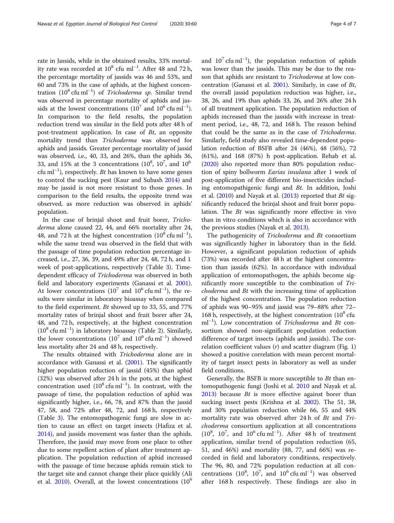rate in Jassids, while in the obtained results, 33% mortality rate was recorded at  $10^8$  cfu ml<sup>-1</sup>. After 48 and 72 h, the percentage mortality of jassids was 46 and 53%, and 60 and 73% in the case of aphids, at the highest concentration (10<sup>8</sup> cfu ml<sup>−1</sup>) of *Trichoderma sp*. Similar trend was observed in percentage mortality of aphids and jassids at the lowest concentrations ( $10^7$  and  $10^6$  cfu ml<sup>-1</sup>). In comparison to the field results, the population reduction trend was similar in the field pots after 48 h of post-treatment application. In case of Bt, an opposite mortality trend than Trichoderma was observed for aphids and jassids. Greater percentage mortality of jassid was observed, i.e., 40, 33, and 26%, than the aphids 36, 33, and 15% at the 3 concentrations  $(10^8, 10^7,$  and  $10^6$ cfu ml<sup>-1</sup>), respectively. *Bt* has known to have some genes to control the sucking pest (Kaur and Subash [2014\)](#page-6-0) and may be jassid is not more resistant to those genes. In comparison to the field results, the opposite trend was observed, as more reduction was observed in aphids' population.

In the case of brinjal shoot and fruit borer, Trichoderma alone caused 22, 44, and 66% mortality after 24, 48, and 72 h at the highest concentration  $(10^8 \text{ cfu} \text{ ml}^{-1})$ , while the same trend was observed in the field that with the passage of time population reduction percentage increased, i.e., 27, 36, 39, and 49% after 24, 48, 72 h, and 1 week of post-applications, respectively (Table [3\)](#page-4-0). Timedependent efficacy of Trichoderma was observed in both field and laboratory experiments (Ganassi et al. [2001](#page-6-0)). At lower concentrations  $(10^7 \text{ and } 10^6 \text{ c} \text{f} \text{u} \text{ m} \text{l}^{-1})$ , the results were similar in laboratory bioassay when compared to the field experiment. Bt showed up to 33, 55, and 77% mortality rates of brinjal shoot and fruit borer after 24, 48, and 72 h, respectively, at the highest concentration (10<sup>8</sup> cfu ml−<sup>1</sup> ) in laboratory bioassay (Table [2\)](#page-2-0). Similarly, the lower concentrations  $(10^7 \text{ and } 10^6 \text{ c} \text{fu} \text{ ml}^{-1})$  showed less mortality after 24 and 48 h, respectively.

The results obtained with Trichoderma alone are in accordance with Ganassi et al. [\(2001\)](#page-6-0). The significantly higher population reduction of jassid (45%) than aphid (32%) was observed after 24 h in the pots, at the highest concentration used  $(10^8 \text{ cfu} \text{ ml}^{-1})$ . In contrast, with the passage of time, the population reduction of aphid was significantly higher, i.e., 66, 78, and 87% than the jassid 47, 58, and 72% after 48, 72, and 168 h, respectively (Table [3\)](#page-4-0). The entomopathogenic fungi are slow in action to cause an effect on target insects (Hafiza et al. [2014](#page-6-0)), and jassids movement was faster than the aphids. Therefore, the jassid may move from one place to other due to some repellent action of plant after treatment application. The population reduction of aphid increased with the passage of time because aphids remain stick to the target site and cannot change their place quickly (Ali et al.  $2010$ ). Overall, at the lowest concentrations  $(10<sup>6</sup>)$ 

and  $10^7$  cfu ml<sup>-1</sup>), the population reduction of aphids was lower than the jassids. This may be due to the reason that aphids are resistant to Trichoderma at low concentration (Ganassi et al. [2001](#page-6-0)). Similarly, in case of Bt, the overall jassid population reduction was higher, i.e., 38, 26, and 19% than aphids 33, 26, and 26% after 24 h of all treatment application. The population reduction of aphids increased than the jassids with increase in treatment period, i.e., 48, 72, and 168 h. The reason behind that could be the same as in the case of Trichoderma. Similarly, field study also revealed time-dependent population reduction of BSFB after 24 (46%), 48 (56%), 72 (61%), and 168 (87%) h post-application. Rehab et al. ([2020\)](#page-6-0) also reported more than 80% population reduction of spiny bollworm Earias insulana after 1 week of post-application of five different bio-insecticides including entomopathigenic fungi and Bt. In addition, Joshi et al.  $(2010)$  $(2010)$  $(2010)$  and Nayak et al.  $(2013)$  $(2013)$  reported that Bt significantly reduced the brinjal shoot and fruit borer population. The Bt was significantly more effective in vivo than in vitro conditions which is also in accordance with the previous studies (Nayak et al. [2013](#page-6-0)).

The pathogenicity of *Trichoderma* and *Bt* consortium was significantly higher in laboratory than in the field. However, a significant population reduction of aphids (73%) was recorded after 48 h at the highest concentration than jassids (62%). In accordance with individual application of entomopathogen, the aphids become significantly more susceptible to the combination of Trichoderma and Bt with the increasing time of application of the highest concentration. The population reduction of aphids was 90–95% and jassid was 79–88% after 72– 168 h, respectively, at the highest concentration  $(10^8 \text{ cftu})$ ml<sup>-1</sup>). Low concentration of Trichoderma and Bt consortium showed non-significant population reduction difference of target insects (aphids and jassids). The correlation coefficient values  $(r)$  and scatter diagram (Fig. [1](#page-5-0)) showed a positive correlation with mean percent mortality of target insect pests in laboratory as well as under field conditions.

Generally, the BSFB is more susceptible to Bt than entomopathogenic fungi (Joshi et al. [2010](#page-6-0) and Nayak et al. [2013](#page-6-0)) because Bt is more effective against borer than sucking insect pests (Krishna et al. [2002](#page-6-0)). The 51, 38, and 30% population reduction while 66, 55 and 44% mortality rate was observed after 24 h of Bt and Trichoderma consortium application at all concentrations ( $10^8$ ,  $10^7$ , and  $10^6$  cfu ml<sup>-1</sup>). After 48 h of treatment application, similar trend of population reduction (65, 51, and 46%) and mortality (88, 77, and 66%) was recorded in field and laboratory conditions, respectively. The 96, 80, and 72% population reduction at all concentrations  $(10^8, 10^7, \text{ and } 10^6 \text{ cftu} \text{ ml}^{-1})$  was observed after 168 h respectively. These findings are also in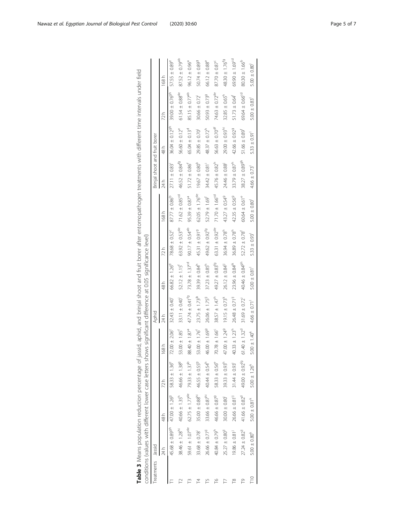<span id="page-4-0"></span>

| Treatments | Jassid                         |                                |                           |                             | Aphid                          |                              |                               |                                | Brinjal shoot and fruit borer  |                                |                                |                           |
|------------|--------------------------------|--------------------------------|---------------------------|-----------------------------|--------------------------------|------------------------------|-------------------------------|--------------------------------|--------------------------------|--------------------------------|--------------------------------|---------------------------|
|            | 24 h                           | 48 h                           | 72h                       | 168h                        | 24 h                           | 48 h                         | 72 h                          | 168 h                          | 24h                            | 48 h                           | 72 h                           | 168 h                     |
|            | $45.68 \pm 0.89$ <sup>gh</sup> | $47.00 \pm 1.26^9$             | $58.33 \pm 1.36^e$        | $72.00 \pm 2.06^{\circ}$    | $32.43 \pm 0.40$               | $66.82 \pm 1.26^{\circ}$     | $78.68 \pm 0.52^c$            | $87.77 \pm 0.86^{\circ}$       | $27.11 \pm 0.83$               | $36.04 \pm 0.12$ <sup>gh</sup> | $39.00 \pm 0.769$ <sup>h</sup> | $57.55 \pm 0.89^e$        |
|            | $38.46 \pm 1.28$ <sup>hi</sup> | $40.66 \pm 1.35^{h}$           | $46.66 \pm 1.389$         | $53.00 \pm 1.85$            | $33.11 \pm 0.40$               | $52.12 \pm 1.15$             | $63.92 \pm 0.53^{\text{de}}$  | $71.62 \pm 0.85$ <sup>cd</sup> | $46.52 \pm 0.84^{f9}$          | $56.60 \pm 0.12^e$             | $61.54 \pm 0.88$ <sup>de</sup> | $87.52 \pm 0.79^{ab}$     |
|            | $59.61 \pm 1.07^{\text{de}}$   | $62.75 \pm 1.77^{\text{de}}$   | $79.33 \pm 1.37^{b}$      | $40 \pm 1.87^{\circ}$<br>∞ँ | $47.74 \pm 0.41^{19}$          | $73.78 \pm 1.37^{c0}$        | $90.17 \pm 0.54^{ab}$         | $95.39 \pm 0.87$ <sup>a</sup>  | $51.72 \pm 0.86$               | $65.04 \pm 0.13$ <sup>d</sup>  | $85.15 \pm 0.77^{ab}$          | $96.12 \pm 0.96^{\circ}$  |
|            | $33.68 \pm 0.78$               | $35.00 \pm 0.88$ <sup>hi</sup> | 46.55 ± 0.55 <sup>9</sup> | $53.00 \pm 1.76$            | $23.75 \pm 1.73^{\rm jk}$      | $39.39 \pm 0.84^{h}$         | 45.31 ± 0.919                 | $62.05 \pm 1.76$ <sup>de</sup> | $19.67 \pm 0.80$ <sup>k</sup>  | $29.85 \pm 0.70$               | $30.66 \pm 0.72$               | 50.74 ± 0.89 <sup>9</sup> |
|            | $26.66 \pm 0.77^{i}$           | $33.66 \pm 0.87^{hi}$          | $40.44 \pm 0.54^h$        | $46.00 \pm 1.699$           | $26.06 \pm 1.75$ <sup>ij</sup> | $37.23 \pm 0.85^{h}$         | $49.62 \pm 0.92^{f9}$         | $52.79 \pm 1.69$ <sup>t</sup>  | $34.42 \pm 0.81$ <sup>1</sup>  | $48.37 \pm 0.72^{h}$           | $50.93 \pm 0.739$              | $66.12 \pm 0.88^e$        |
|            | $40.84 \pm 0.79$ <sup>h</sup>  | $46.66 \pm 0.879$              | $58.33 \pm 0.56^e$        | $70.78 \pm 1.66^c$          | $38.57 \pm 1.47^h$             | $49.27 \pm 0.83^{69}$        | $63.31 \pm 0.92^{\text{de}}$  | $71.70 \pm 1.66$ <sup>cd</sup> | $45.76 \pm 0.82^{h}$           | $56.63 \pm 0.70^{df}$          | $74.63 \pm 0.72$ <sup>de</sup> | $87.70 \pm 0.87^c$        |
|            | $25.27 \pm 0.80$ <sup>1</sup>  | $30.00 \pm 0.80$               | $39.33 \pm 0.93^{h}$      | $47.00 \pm 1.249$           | $19.15 \pm 0.73$ <sup>k</sup>  | $26.12 \pm 0.84^{11}$        | $36.94 \pm 0.78$ <sup>h</sup> | $43.27 \pm 0.549$              | $24.46 \pm 0.88$               | $29.00 \pm 0.93^{hi}$          | $32.85 \pm 0.65^{h}$           | $48.30 \pm 1.76^{fg}$     |
| ≌          | $19.86 \pm 0.81$ <sup>1</sup>  | $26.66 \pm 0.81$ <sup>ij</sup> | $31.44 \pm 0.93$          | $40.33 \pm 1.23^h$          | $26.48 \pm 0.71$ <sup>ij</sup> | $23.96 \pm 0.84^{\rm lk}$    | $36.89 \pm 0.78$ <sup>h</sup> | $42.35 \pm 0.569$              | $33.79 \pm 0.87^{h}$           | $42.66 \pm 0.929$              | $51.73 \pm 0.64^{\dagger}$     | $69.90 \pm 1.69^{cd}$     |
| P          | $27.24 \pm 0.82$ <sup>11</sup> | $41.66 \pm 0.82^d$             | $49.00 \pm 0.92^{69}$     | $40 \pm 1.32^{\circ}$<br>6  | $31.69 \pm 0.72$ <sup>1</sup>  | $40.46 \pm 0.849^{\rm h}$    | $52.72 \pm 0.78$              | $60.64 \pm 0.61$ <sup>e</sup>  | $38.27 \pm 0.89$ <sup>gh</sup> | $51.66 \pm 0.89$               | $69.64 \pm 0.66$ <sup>cd</sup> | $80.30 \pm 1.66^{b}$      |
|            | $5.00 \pm 0.80$ <sup>k</sup>   | $5.00 \pm 0.81$ <sup>k</sup>   | $5.00 \pm 1.26^{k}$       | $00 + 1.40^{k}$<br>ഗ്       | $4.66 \pm 0.71$                | $5.00 \pm 0.81$ <sup>1</sup> | $5.33 \pm 0.93$               | $5.00 \pm 0.80$                | $4.66 \pm 0.73$                | $5.33 \pm 0.91$                | $5.00 \pm 0.83$                | $5.00 \pm 0.80$           |

| 7<br>5<br>j<br>Ï<br>1                                                                         |                                                                         |
|-----------------------------------------------------------------------------------------------|-------------------------------------------------------------------------|
| j<br>Ì<br>1<br>ī<br>S                                                                         |                                                                         |
| ۶                                                                                             |                                                                         |
| r                                                                                             |                                                                         |
|                                                                                               |                                                                         |
| the those interests<br>$\frac{1}{1}$                                                          |                                                                         |
|                                                                                               |                                                                         |
| :<br>^<br>^<br>^<br>^<br>^                                                                    |                                                                         |
|                                                                                               |                                                                         |
| $\frac{1}{2}$                                                                                 |                                                                         |
| $\begin{array}{c} \n\end{array}$                                                              |                                                                         |
| 3<br>j                                                                                        |                                                                         |
| j<br>į<br>ì                                                                                   |                                                                         |
| j<br>j                                                                                        |                                                                         |
| j<br>į<br>j                                                                                   |                                                                         |
| j<br>$\ddot{\phantom{0}}$                                                                     |                                                                         |
| J<br>j                                                                                        | J<br>J<br>$\ddot{\phantom{0}}$                                          |
| 5<br>l                                                                                        | )<br>)<br>)<br>I                                                        |
| j<br>ì                                                                                        | s<br>S<br>i<br>S<br>)                                                   |
| j                                                                                             | :<br>ī<br>١<br>İ<br>Ì                                                   |
| and anbid and hrinial short and thiit horer atter entomoonoontoopen treatments with<br>١<br>١ | うりこっこ<br>l                                                              |
| ١                                                                                             | 5                                                                       |
| ١                                                                                             | )<br>J<br>۱                                                             |
| $\vdots$<br>2                                                                                 | J<br>١<br>$\overline{\phantom{a}}$<br>$\ddot{\tilde{}}$                 |
| Ĵ<br>j                                                                                        | ׇ֚֕֕                                                                    |
| $\frac{5}{1}$                                                                                 | くりりょう 井上り サントン・コンティング シャこうり<br>-<br>-<br>-<br>-<br>$\ddot{\phantom{0}}$ |
| ١                                                                                             | 5<br>Ì                                                                  |
| )<br>Drivers                                                                                  |                                                                         |
| $\mathfrak{z}$                                                                                | $\frac{1}{2}$<br>t<br>t                                                 |
| i<br>١<br>j<br>j                                                                              | j<br>l                                                                  |
| ١<br>ֺ<br>I<br>ׇ֚֘֡                                                                           | l<br>Ì<br>)<br>5                                                        |
| !<br>ļ                                                                                        |                                                                         |
| $\mathbf{I}$<br>j                                                                             |                                                                         |
| ١                                                                                             | ׅ֘                                                                      |
|                                                                                               | ֘֝֕                                                                     |
| $\frac{1}{2}$<br>ļ                                                                            |                                                                         |
| ì                                                                                             | j<br>l                                                                  |
| ١<br>$\frac{1}{2}$<br>j                                                                       |                                                                         |
|                                                                                               | י<br>י<br>ׇ֚֘֝֬                                                         |
|                                                                                               | ī<br>ļ                                                                  |
|                                                                                               |                                                                         |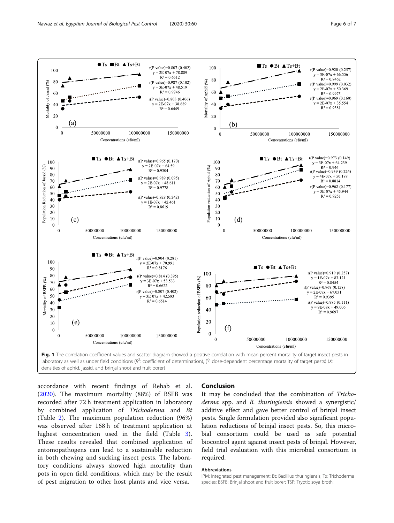

<span id="page-5-0"></span>

densities of aphid, jassid, and brinjal shoot and fruit borer)

accordance with recent findings of Rehab et al. ([2020\)](#page-6-0). The maximum mortality (88%) of BSFB was recorded after 72 h treatment application in laboratory by combined application of Trichoderma and Bt (Table [2](#page-2-0)). The maximum population reduction (96%) was observed after 168 h of treatment application at highest concentration used in the field (Table [3](#page-4-0)). These results revealed that combined application of entomopathogens can lead to a sustainable reduction in both chewing and sucking insect pests. The laboratory conditions always showed high mortality than pots in open field conditions, which may be the result of pest migration to other host plants and vice versa.

#### Conclusion

It may be concluded that the combination of Trichoderma spp. and B. thuringiensis showed a synergistic/ additive effect and gave better control of brinjal insect pests. Single formulation provided also significant population reductions of brinjal insect pests. So, this microbial consortium could be used as safe potential biocontrol agent against insect pests of brinjal. However, field trial evaluation with this microbial consortium is required.

#### Abbreviations

IPM: Integrated pest management; Bt: Bacilllus thuringiensis; Ts: Trichoderma species; BSFB: Brinjal shoot and fruit borer; TSP: Tryptic soya broth;